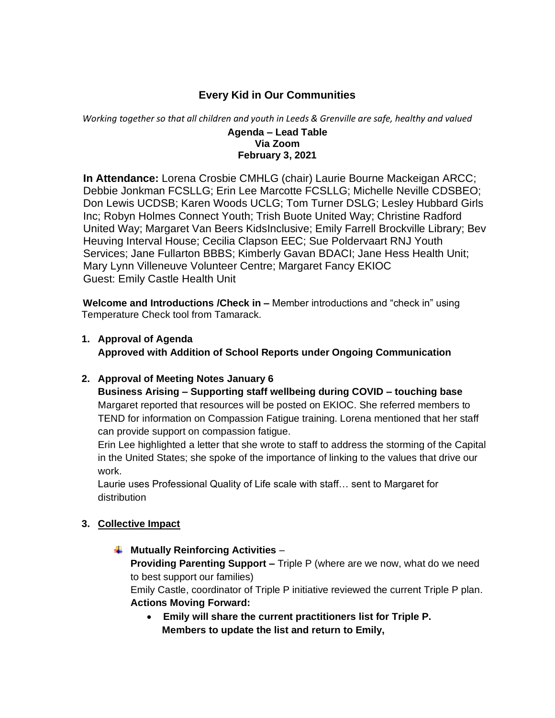## **Every Kid in Our Communities**

*Working together so that all children and youth in Leeds & Grenville are safe, healthy and valued*

#### **Agenda – Lead Table Via Zoom February 3, 2021**

 **In Attendance:** Lorena Crosbie CMHLG (chair) Laurie Bourne Mackeigan ARCC; Debbie Jonkman FCSLLG; Erin Lee Marcotte FCSLLG; Michelle Neville CDSBEO; Don Lewis UCDSB; Karen Woods UCLG; Tom Turner DSLG; Lesley Hubbard Girls Inc; Robyn Holmes Connect Youth; Trish Buote United Way; Christine Radford United Way; Margaret Van Beers KidsInclusive; Emily Farrell Brockville Library; Bev Heuving Interval House; Cecilia Clapson EEC; Sue Poldervaart RNJ Youth Services; Jane Fullarton BBBS; Kimberly Gavan BDACI; Jane Hess Health Unit; Mary Lynn Villeneuve Volunteer Centre; Margaret Fancy EKIOC Guest: Emily Castle Health Unit

 **Welcome and Introductions /Check in –** Member introductions and "check in" using Temperature Check tool from Tamarack.

**1. Approval of Agenda Approved with Addition of School Reports under Ongoing Communication**

#### **2. Approval of Meeting Notes January 6**

**Business Arising – Supporting staff wellbeing during COVID – touching base** Margaret reported that resources will be posted on EKIOC. She referred members to TEND for information on Compassion Fatigue training. Lorena mentioned that her staff can provide support on compassion fatigue.

Erin Lee highlighted a letter that she wrote to staff to address the storming of the Capital in the United States; she spoke of the importance of linking to the values that drive our work.

Laurie uses Professional Quality of Life scale with staff… sent to Margaret for distribution

#### **3. Collective Impact**

**Mutually Reinforcing Activities** –

**Providing Parenting Support –** Triple P (where are we now, what do we need to best support our families)

Emily Castle, coordinator of Triple P initiative reviewed the current Triple P plan. **Actions Moving Forward:**

• **Emily will share the current practitioners list for Triple P. Members to update the list and return to Emily,**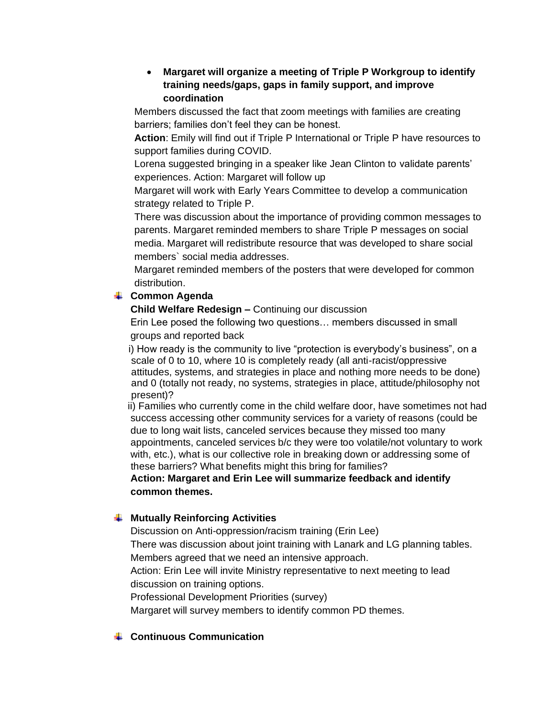#### • **Margaret will organize a meeting of Triple P Workgroup to identify training needs/gaps, gaps in family support, and improve coordination**

Members discussed the fact that zoom meetings with families are creating barriers; families don't feel they can be honest.

 **Action**: Emily will find out if Triple P International or Triple P have resources to support families during COVID.

 Lorena suggested bringing in a speaker like Jean Clinton to validate parents' experiences. Action: Margaret will follow up

 Margaret will work with Early Years Committee to develop a communication strategy related to Triple P.

 There was discussion about the importance of providing common messages to parents. Margaret reminded members to share Triple P messages on social media. Margaret will redistribute resource that was developed to share social members` social media addresses.

 Margaret reminded members of the posters that were developed for common distribution.

## **Common Agenda**

**Child Welfare Redesign –** Continuing our discussion

Erin Lee posed the following two questions… members discussed in small groups and reported back

 i) How ready is the community to live "protection is everybody's business", on a scale of 0 to 10, where 10 is completely ready (all anti-racist/oppressive attitudes, systems, and strategies in place and nothing more needs to be done) and 0 (totally not ready, no systems, strategies in place, attitude/philosophy not present)?

 ii) Families who currently come in the child welfare door, have sometimes not had success accessing other community services for a variety of reasons (could be due to long wait lists, canceled services because they missed too many appointments, canceled services b/c they were too volatile/not voluntary to work with, etc.), what is our collective role in breaking down or addressing some of these barriers? What benefits might this bring for families?

### **Action: Margaret and Erin Lee will summarize feedback and identify common themes.**

# **Mutually Reinforcing Activities**

Discussion on Anti-oppression/racism training (Erin Lee)

There was discussion about joint training with Lanark and LG planning tables. Members agreed that we need an intensive approach.

Action: Erin Lee will invite Ministry representative to next meeting to lead discussion on training options.

Professional Development Priorities (survey)

Margaret will survey members to identify common PD themes.

### **Continuous Communication**